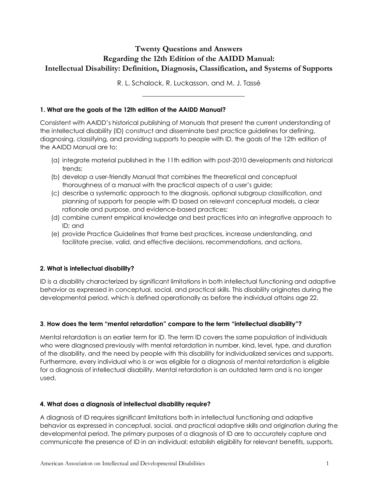# **Twenty Questions and Answers Regarding the 12th Edition of the AAIDD Manual: Intellectual Disability: Definition, Diagnosis, Classification, and Systems of Supports**

R. L. Schalock, R. Luckasson, and M. J. Tassé

### **1. What are the goals of the 12th edition of the AAIDD Manual?**

Consistent with AAIDD's historical publishing of Manuals that present the current understanding of the intellectual disability (ID) construct and disseminate best practice guidelines for defining, diagnosing, classifying, and providing supports to people with ID, the goals of the 12th edition of the AAIDD Manual are to:

- (a) integrate material published in the 11th edition with post-2010 developments and historical trends;
- (b) develop a user-friendly Manual that combines the theoretical and conceptual thoroughness of a manual with the practical aspects of a user's guide;
- (c) describe a systematic approach to the diagnosis, optional subgroup classification, and planning of supports for people with ID based on relevant conceptual models, a clear rationale and purpose, and evidence-based practices;
- (d) combine current empirical knowledge and best practices into an integrative approach to ID; and
- (e) provide Practice Guidelines that frame best practices, increase understanding, and facilitate precise, valid, and effective decisions, recommendations, and actions.

# **2. What is intellectual disability?**

ID is a disability characterized by significant limitations in both intellectual functioning and adaptive behavior as expressed in conceptual, social, and practical skills. This disability originates during the developmental period, which is defined operationally as before the individual attains age 22.

#### **3**. **How does the term "mental retardation" compare to the term "intellectual disability"?**

Mental retardation is an earlier term for ID. The term ID covers the same population of individuals who were diagnosed previously with mental retardation in number, kind, level, type, and duration of the disability, and the need by people with this disability for individualized services and supports. Furthermore, every individual who is or was eligible for a diagnosis of mental retardation is eligible for a diagnosis of intellectual disability. Mental retardation is an outdated term and is no longer used.

# **4. What does a diagnosis of intellectual disability require?**

A diagnosis of ID requires significant limitations both in intellectual functioning and adaptive behavior as expressed in conceptual, social, and practical adaptive skills and origination during the developmental period. The primary purposes of a diagnosis of ID are to accurately capture and communicate the presence of ID in an individual; establish eligibility for relevant benefits, supports,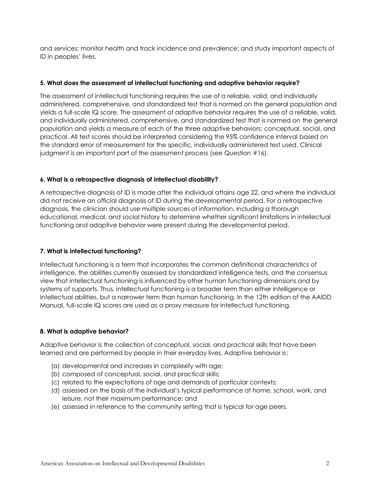and services; monitor health and track incidence and prevalence; and study important aspects of ID in peoples' lives.

### **5. What does the assessment of intellectual functioning and adaptive behavior require?**

The assessment of intellectual functioning requires the use of a reliable, valid, and individually administered, comprehensive, and standardized test that is normed on the general population and yields a full-scale IQ score. The assessment of adaptive behavior requires the use of a reliable, valid, and individually administered, comprehensive, and standardized test that is normed on the general population and yields a measure of each of the three adaptive behaviors: conceptual, social, and practical. All test scores should be interpreted considering the 95% confidence interval based on the standard error of measurement for the specific, individually administered test used. Clinical judgment is an important part of the assessment process (see Question #16).

### **6. What is a retrospective diagnosis of intellectual disability?**

A retrospective diagnosis of ID is made after the individual attains age 22, and where the individual did not receive an official diagnosis of ID during the developmental period. For a retrospective diagnosis, the clinician should use multiple sources of information, including a thorough educational, medical, and social history to determine whether significant limitations in intellectual functioning and adaptive behavior were present during the developmental period.

# **7. What is intellectual functioning?**

Intellectual functioning is a term that incorporates the common definitional characteristics of intelligence, the abilities currently assessed by standardized intelligence tests, and the consensus view that intellectual functioning is influenced by other human functioning dimensions and by systems of supports. Thus, intellectual functioning is a broader term than either intelligence or intellectual abilities, but a narrower term than human functioning. In the 12th edition of the AAIDD Manual, full-scale IQ scores are used as a proxy measure for intellectual functioning.

# **8. What is adaptive behavior?**

Adaptive behavior is the collection of conceptual, social, and practical skills that have been learned and are performed by people in their everyday lives. Adaptive behavior is:

- (a) developmental and increases in complexity with age;
- (b) composed of conceptual, social, and practical skills;
- (c) related to the expectations of age and demands of particular contexts;
- (d) assessed on the basis of the individual's typical performance at home, school, work, and leisure, not their maximum performance; and
- (e) assessed in reference to the community setting that is typical for age peers.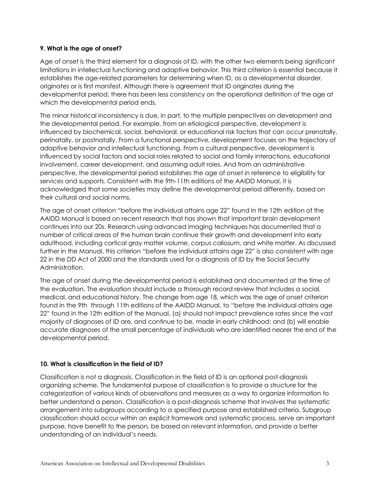### **9. What is the age of onset?**

Age of onset is the third element for a diagnosis of ID, with the other two elements being significant limitations in intellectual functioning and adaptive behavior. This third criterion is essential because it establishes the age-related parameters for determining when ID, as a developmental disorder, originates or is first manifest. Although there is agreement that ID originates during the developmental period, there has been less consistency on the operational definition of the age at which the developmental period ends.

The minor historical inconsistency is due, in part, to the multiple perspectives on development and the developmental period. For example, from an etiological perspective, development is influenced by biochemical, social, behavioral, or educational risk factors that can occur prenatally, perinatally, or postnatally. From a functional perspective, development focuses on the trajectory of adaptive behavior and intellectual functioning. From a cultural perspective, development is influenced by social factors and social roles related to social and family interactions, educational involvement, career development, and assuming adult roles. And from an administrative perspective, the developmental period establishes the age of onset in reference to eligibility for services and supports. Consistent with the 9th-11th editions of the AAIDD Manual, it is acknowledged that some societies may define the developmental period differently, based on their cultural and social norms.

The age of onset criterion "before the individual attains age 22" found in the 12th edition of the AAIDD Manual is based on recent research that has shown that important brain development continues into our 20s. Research using advanced imaging techniques has documented that a number of critical areas of the human brain continue their growth and development into early adulthood, including cortical gray matter volume, corpus callosum, and white matter. As discussed further in the Manual, this criterion "before the individual attains age 22" is also consistent with age 22 in the DD Act of 2000 and the standards used for a diagnosis of ID by the Social Security Administration.

The age of onset during the developmental period is established and documented at the time of the evaluation. The evaluation should include a thorough record review that includes a social, medical, and educational history. The change from age 18, which was the age of onset criterion found in the 9th through 11th editions of the AAIDD Manual, to "before the individual attains age 22" found in the 12th edition of the Manual, (a) should not impact prevalence rates since the vast majority of diagnoses of ID are, and continue to be, made in early childhood; and (b) will enable accurate diagnoses of the small percentage of individuals who are identified nearer the end of the developmental period.

# **10. What is classification in the field of ID?**

Classification is not a diagnosis. Classification in the field of ID is an optional post-diagnosis organizing scheme. The fundamental purpose of classification is to provide a structure for the categorization of various kinds of observations and measures as a way to organize information to better understand a person. Classification is a post-diagnosis scheme that involves the systematic arrangement into subgroups according to a specified purpose and established criteria. Subgroup classification should occur within an explicit framework and systematic process, serve an important purpose, have benefit to the person, be based on relevant information, and provide a better understanding of an individual's needs.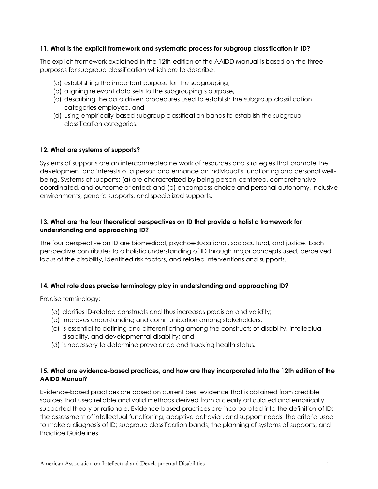#### **11. What is the explicit framework and systematic process for subgroup classification in ID?**

The explicit framework explained in the 12th edition of the AAIDD Manual is based on the three purposes for subgroup classification which are to describe:

- (a) establishing the important purpose for the subgrouping,
- (b) aligning relevant data sets to the subgrouping's purpose,
- (c) describing the data driven procedures used to establish the subgroup classification categories employed, and
- (d) using empirically-based subgroup classification bands to establish the subgroup classification categories.

#### **12. What are systems of supports?**

Systems of supports are an interconnected network of resources and strategies that promote the development and interests of a person and enhance an individual's functioning and personal wellbeing. Systems of supports: (a) are characterized by being person-centered, comprehensive, coordinated, and outcome oriented; and (b) encompass choice and personal autonomy, inclusive environments, generic supports, and specialized supports.

### **13. What are the four theoretical perspectives on ID that provide a holistic framework for understanding and approaching ID?**

The four perspective on ID are biomedical, psychoeducational, sociocultural, and justice. Each perspective contributes to a holistic understanding of ID through major concepts used, perceived locus of the disability, identified risk factors, and related interventions and supports.

#### **14. What role does precise terminology play in understanding and approaching ID?**

Precise terminology:

- (a) clarifies ID-related constructs and thus increases precision and validity;
- (b) improves understanding and communication among stakeholders;
- (c) is essential to defining and differentiating among the constructs of disability, intellectual disability, and developmental disability; and
- (d) is necessary to determine prevalence and tracking health status.

# **15. What are evidence-based practices, and how are they incorporated into the 12th edition of the AAIDD Manual?**

Evidence-based practices are based on current best evidence that is obtained from credible sources that used reliable and valid methods derived from a clearly articulated and empirically supported theory or rationale. Evidence-based practices are incorporated into the definition of ID; the assessment of intellectual functioning, adaptive behavior, and support needs; the criteria used to make a diagnosis of ID; subgroup classification bands; the planning of systems of supports; and Practice Guidelines.